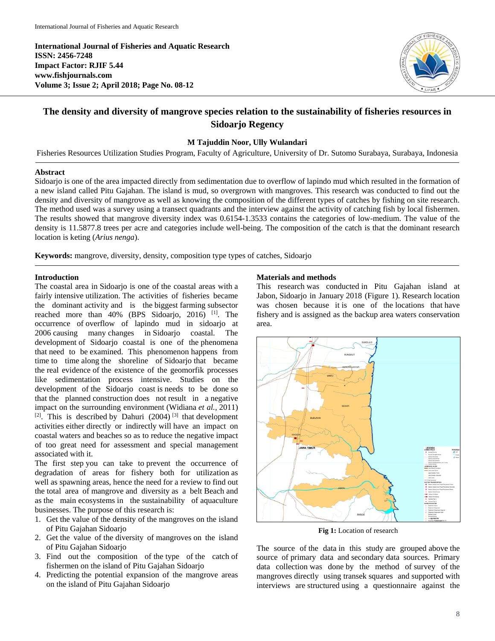**International Journal of Fisheries and Aquatic Research ISSN: 2456-7248 Impact Factor: RJIF 5.44 www.fishjournals.com Volume 3; Issue 2; April 2018; Page No. 08-12**



# **The density and diversity of mangrove species relation to the sustainability of fisheries resources in Sidoarjo Regency**

# **M Tajuddin Noor, Ully Wulandari**

Fisheries Resources Utilization Studies Program, Faculty of Agriculture, University of Dr. Sutomo Surabaya, Surabaya, Indonesia

#### **Abstract**

Sidoarjo is one of the area impacted directly from sedimentation due to overflow of lapindo mud which resulted in the formation of a new island called Pitu Gajahan. The island is mud, so overgrown with mangroves. This research was conducted to find out the density and diversity of mangrove as well as knowing the composition of the different types of catches by fishing on site research. The method used was a survey using a transect quadrants and the interview against the activity of catching fish by local fishermen. The results showed that mangrove diversity index was 0.6154-1.3533 contains the categories of low-medium. The value of the density is 11.5877.8 trees per acre and categories include well-being. The composition of the catch is that the dominant research location is keting (*Arius nenga*).

**Keywords:** mangrove, diversity, density, composition type types of catches, Sidoarjo

#### **Introduction**

The coastal area in Sidoarjo is one of the coastal areas with a fairly intensive utilization. The activities of fisheries became the dominant activity and is the biggest farming subsector reached more than 40% (BPS Sidoarjo, 2016)<sup>[1]</sup>. The occurrence of overflow of lapindo mud in sidoarjo at 2006 causing many changes in Sidoarjo coastal. The development of Sidoarjo coastal is one of the phenomena that need to be examined. This phenomenon happens from time to time along the shoreline of Sidoarjo that became the real evidence of the existence of the geomorfik processes like sedimentation process intensive. Studies on the development of the Sidoarjo coast is needs to be done so that the planned construction does not result in a negative impact on the surrounding environment (Widiana *et al.,* 2011)  $[2]$ . This is described by Dahuri (2004)<sup>[3]</sup> that development activities either directly or indirectly will have an impact on coastal waters and beaches so as to reduce the negative impact of too great need for assessment and special management associated with it.

The first step you can take to prevent the occurrence of degradation of areas for fishery both for utilization as well as spawning areas, hence the need for a review to find out the total area of mangrove and diversity as a belt Beach and as the main ecosystems in the sustainability of aquaculture businesses. The purpose of this research is:

- 1. Get the value of the density of the mangroves on the island of Pitu Gajahan Sidoarjo
- 2. Get the value of the diversity of mangroves on the island of Pitu Gajahan Sidoarjo
- 3. Find out the composition of the type of the catch of fishermen on the island of Pitu Gajahan Sidoarjo
- 4. Predicting the potential expansion of the mangrove areas on the island of Pitu Gajahan Sidoarjo

#### **Materials and methods**

This research was conducted in Pitu Gajahan island at Jabon, Sidoarjo in January 2018 (Figure 1). Research location was chosen because it is one of the locations that have fishery and is assigned as the backup area waters conservation area.



**Fig 1:** Location of research

The source of the data in this study are grouped above the source of primary data and secondary data sources. Primary data collection was done by the method of survey of the mangroves directly using transek squares and supported with interviews are structured using a questionnaire against the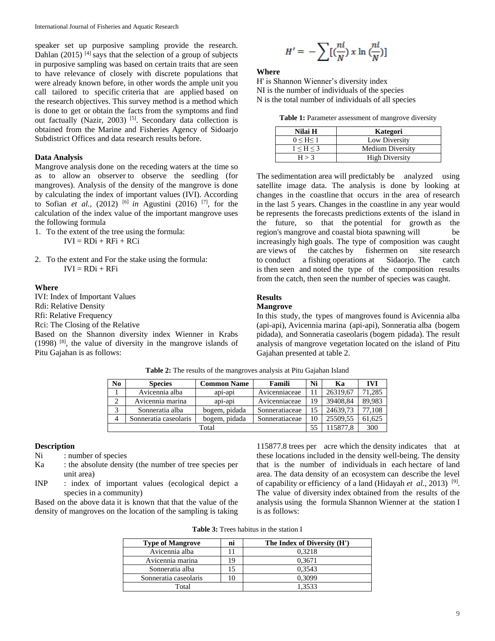speaker set up purposive sampling provide the research. Dahlan (2015)<sup>[4]</sup> says that the selection of a group of subjects in purposive sampling was based on certain traits that are seen to have relevance of closely with discrete populations that were already known before, in other words the ample unit you call tailored to specific criteria that are applied based on the research objectives. This survey method is a method which is done to get or obtain the facts from the symptoms and find out factually (Nazir, 2003)<sup>[5]</sup>. Secondary data collection is obtained from the Marine and Fisheries Agency of Sidoarjo Subdistrict Offices and data research results before.

### **Data Analysis**

Mangrove analysis done on the receding waters at the time so as to allow an observer to observe the seedling (for mangroves). Analysis of the density of the mangrove is done by calculating the index of important values (IVI). According to Sofian *et al.*, (2012) <sup>[6]</sup> *in* Agustini (2016) <sup>[7]</sup>, for the calculation of the index value of the important mangrove uses the following formula

- 1. To the extent of the tree using the formula:  $IVI = RDi + RFi + RCi$
- 2. To the extent and For the stake using the formula:  $IVI = RDi + RFi$

#### **Where**

IVI: Index of Important Values

Rdi: Relative Density

Rfi: Relative Frequency

Rci: The Closing of the Relative

Based on the Shannon diversity index Wienner in Krabs  $(1998)$  [8], the value of diversity in the mangrove islands of Pitu Gajahan is as follows:

$$
H' = -\sum [\left(\frac{ni}{N}\right)x \ln \left(\frac{ni}{N}\right)]
$$

#### **Where**

H' is Shannon Wienner's diversity index NI is the number of individuals of the species N is the total number of individuals of all species

**Table 1:** Parameter assessment of mangrove diversity

| Nilai H   | Kategori                |
|-----------|-------------------------|
| 0 < H < 1 | Low Diversity           |
| 1 < H < 3 | <b>Medium Diversity</b> |
| H > 3     | <b>High Diversity</b>   |

The sedimentation area will predictably be analyzed using satellite image data. The analysis is done by looking at changes in the coastline that occurs in the area of research in the last 5 years. Changes in the coastline in any year would be represents the forecasts predictions extents of the island in the future, so that the potential for growth as the region's mangrove and coastal biota spawning will be increasingly high goals. The type of composition was caught are views of the catches by fishermen on site research to conduct a fishing operations at Sidaorjo. The catch is then seen and noted the type of the composition results from the catch, then seen the number of species was caught.

#### **Results**

### **Mangrove**

In this study, the types of mangroves found is Avicennia alba (api-api), Avicennia marina (api-api), Sonneratia alba (bogem pidada), and Sonneratia caseolaris (bogem pidada). The result analysis of mangrove vegetation located on the island of Pitu Gajahan presented at table 2.

| N <sub>0</sub> | <b>Species</b>        | <b>Common Name</b> | Famili         | Ni | Ka       | <b>IVI</b> |
|----------------|-----------------------|--------------------|----------------|----|----------|------------|
|                | Avicennia alba        | api-api            | Avicenniaceae  |    | 26319,67 | 71,285     |
|                | Avicennia marina      | api-api            | Avicenniaceae  | 19 | 39408,84 | 89,983     |
|                | Sonneratia alba       | bogem, pidada      | Sonneratiaceae |    | 24639.73 | 77,108     |
| 4              | Sonneratia caseolaris | bogem, pidada      | Sonneratiaceae | 10 | 25509.55 | 61,625     |
|                | Total                 |                    |                |    |          | 300        |

**Table 2:** The results of the mangroves analysis at Pitu Gajahan Island

# **Description**

Ni : number of species

- Ka : the absolute density (the number of tree species per unit area)
- INP : index of important values (ecological depict a species in a community)

Based on the above data it is known that that the value of the density of mangroves on the location of the sampling is taking

115877.8 trees per acre which the density indicates that at these locations included in the density well-being. The density that is the number of individuals in each hectare of land area. The data density of an ecosystem can describe the level of capability or efficiency of a land (Hidayah *et al.*, 2013)<sup>[9]</sup>. The value of diversity index obtained from the results of the analysis using the formula Shannon Wienner at the station I is as follows:

| <b>Table 3:</b> Trees habitus in the station I |  |  |  |  |  |  |
|------------------------------------------------|--|--|--|--|--|--|
|------------------------------------------------|--|--|--|--|--|--|

| <b>Type of Mangrove</b> | m | The Index of Diversity (H') |
|-------------------------|---|-----------------------------|
| Avicennia alba          |   | 0.3218                      |
| Avicennia marina        |   | 0,3671                      |
| Sonneratia alba         |   | 0.3543                      |
| Sonneratia caseolaris   |   | 0.3099                      |
| Total                   |   | 1.3533                      |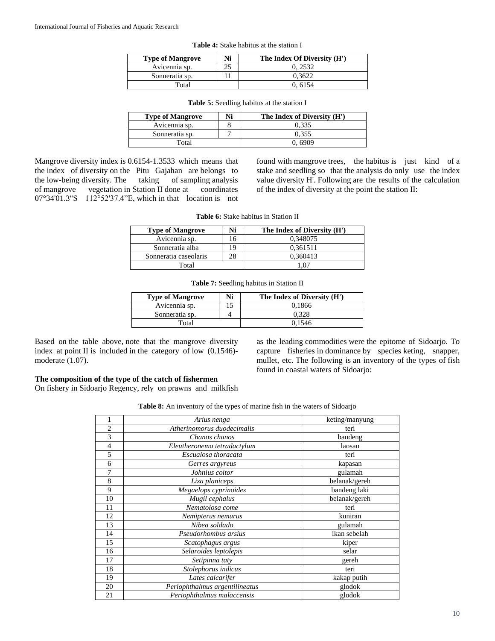| <b>Type of Mangrove</b> | Ni | The Index Of Diversity (H') |
|-------------------------|----|-----------------------------|
| Avicennia sp.           | つち | 0.2532                      |
| Sonneratia sp.          |    | 0.3622                      |
| Total                   |    | 0.6154                      |

| <b>Type of Mangrove</b> | Ni | The Index of Diversity (H') |
|-------------------------|----|-----------------------------|
| Avicennia sp.           |    | 0.335                       |
| Sonneratia sp.          |    | 0.355                       |
| Total                   |    | 0 6909                      |

**Table 5:** Seedling habitus at the station I

Mangrove diversity index is 0.6154-1.3533 which means that the index of diversity on the Pitu Gajahan are belongs to the low-being diversity. The taking of sampling analysis the low-being diversity. The taking of mangrove vegetation in Station II done at coordinates 07°34'01.3"S 112°52'37.4"E, which in that location is not found with mangrove trees, the habitus is just kind of a stake and seedling so that the analysis do only use the index value diversity H'. Following are the results of the calculation of the index of diversity at the point the station II:

| <b>Type of Mangrove</b> | Ni | The Index of Diversity (H') |
|-------------------------|----|-----------------------------|
| Avicennia sp.           |    | 0.348075                    |
| Sonneratia alba         |    | 0,361511                    |
| Sonneratia caseolaris   |    | 0.360413                    |
| Total                   |    |                             |

**Table 6:** Stake habitus in Station II

| <b>Type of Mangrove</b> | Ni | The Index of Diversity (H') |
|-------------------------|----|-----------------------------|
| Avicennia sp.           |    | 0.1866                      |
| Sonneratia sp.          |    | 0.328                       |
| Total                   |    | 0.1546                      |

Based on the table above, note that the mangrove diversity index at point II is included in the category of low (0.1546) moderate (1.07).

as the leading commodities were the epitome of Sidoarjo. To capture fisheries in dominance by species keting, snapper, mullet, etc. The following is an inventory of the types of fish found in coastal waters of Sidoarjo:

# **The composition of the type of the catch of fishermen**

On fishery in Sidoarjo Regency, rely on prawns and milkfish

**Table 8:** An inventory of the types of marine fish in the waters of Sidoarjo

|    | Arius nenga                    | keting/manyung |
|----|--------------------------------|----------------|
| 2  | Atherinomorus duodecimalis     | teri           |
| 3  | Chanos chanos                  | bandeng        |
| 4  | Eleutheronema tetradactylum    | laosan         |
| 5  | Escualosa thoracata            | teri           |
| 6  | Gerres argyreus                | kapasan        |
| 7  | Johnius coitor                 | gulamah        |
| 8  | Liza planiceps                 | belanak/gereh  |
| 9  | Megaelops cyprinoides          | bandeng laki   |
| 10 | Mugil cephalus                 | belanak/gereh  |
| 11 | Nematolosa come                | teri           |
| 12 | Nemipterus nemurus             | kuniran        |
| 13 | Nibea soldado                  | gulamah        |
| 14 | Pseudorhombus arsius           | ikan sebelah   |
| 15 | Scatophagus argus              | kiper          |
| 16 | Selaroides leptolepis          | selar          |
| 17 | Setipinna taty                 | gereh          |
| 18 | Stolephorus indicus            | teri           |
| 19 | Lates calcarifer               | kakap putih    |
| 20 | Periophthalmus argentilineatus | glodok         |
| 21 | Periophthalmus malaccensis     | glodok         |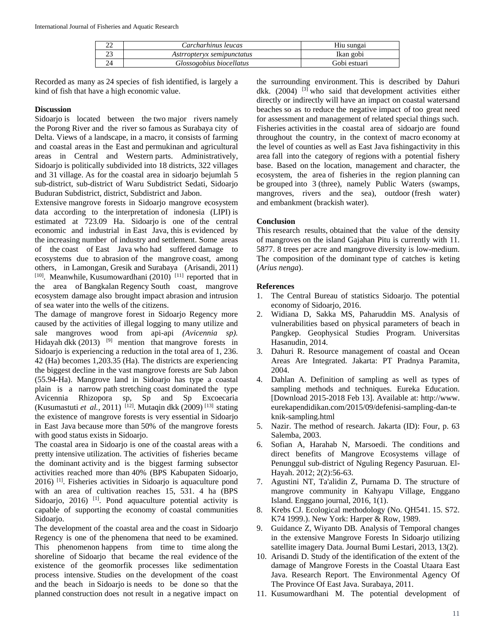| ົ<br><u>__</u> | Carcharhinus leucas        | Hiu sungai   |
|----------------|----------------------------|--------------|
|                | Astrropteryx semipunctatus | Ikan gobi    |
| 24             | Glossogobius biocellatus   | Gobi estuari |

Recorded as many as 24 species of fish identified, is largely a kind of fish that have a high economic value.

# **Discussion**

Sidoarjo is located between the two major rivers namely the Porong River and the river so famous as Surabaya city of Delta. Views of a landscape, in a macro, it consists of farming and coastal areas in the East and permukinan and agricultural areas in Central and Western parts. Administratively, Sidoarjo is politically subdivided into 18 districts, 322 villages and 31 village. As for the coastal area in sidoarjo bejumlah 5 sub-district, sub-district of Waru Subdistrict Sedati, Sidoarjo Buduran Subdistrict, district, Subdistrict and Jabon.

Extensive mangrove forests in Sidoarjo mangrove ecosystem data according to the interpretation of indonesia (LIPI) is estimated at 723.09 Ha. Sidoarjo is one of the central economic and industrial in East Java, this is evidenced by the increasing number of industry and settlement. Some areas of the coast of East Java who had suffered damage to ecosystems due to abrasion of the mangrove coast, among others, in Lamongan, Gresik and Surabaya (Arisandi, 2011)  $[10]$ . Meanwhile, Kusumowardhani (2010)  $[11]$  reported that in the area of Bangkalan Regency South coast, mangrove ecosystem damage also brought impact abrasion and intrusion of sea water into the wells of the citizens.

The damage of mangrove forest in Sidoarjo Regency more caused by the activities of illegal logging to many utilize and sale mangroves wood from api-api *(Avicennia sp).*  Hidayah dkk  $(2013)$ <sup>[9]</sup> mention that mangrove forests in Sidoarjo is experiencing a reduction in the total area of 1, 236. 42 (Ha) becomes 1,203.35 (Ha). The districts are experiencing the biggest decline in the vast mangrove forests are Sub Jabon (55.94-Ha). Mangrove land in Sidoarjo has type a coastal plain is a narrow path stretching coast dominated the type Avicennia Rhizopora sp, Sp and Sp Excoecaria (Kusumastuti et al., 2011)<sup>[12]</sup>. Mutaqin dkk (2009)<sup>[13]</sup> stating the existence of mangrove forests is very essential in Sidoarjo in East Java because more than 50% of the mangrove forests with good status exists in Sidoarjo.

The coastal area in Sidoarjo is one of the coastal areas with a pretty intensive utilization. The activities of fisheries became the dominant activity and is the biggest farming subsector activities reached more than 40% (BPS Kabupaten Sidoarjo, 2016) [1] . Fisheries activities in Sidoarjo is aquaculture pond with an area of cultivation reaches 15, 531. 4 ha (BPS Sidoarjo, 2016)<sup>[1]</sup>. Pond aquaculture potential activity is capable of supporting the economy of coastal communities Sidoarjo.

The development of the coastal area and the coast in Sidoarjo Regency is one of the phenomena that need to be examined. This phenomenon happens from time to time along the shoreline of Sidoarjo that became the real evidence of the existence of the geomorfik processes like sedimentation process intensive. Studies on the development of the coast and the beach in Sidoarjo is needs to be done so that the planned construction does not result in a negative impact on the surrounding environment. This is described by Dahuri dkk.  $(2004)$  <sup>[3]</sup> who said that development activities either directly or indirectly will have an impact on coastal watersand beaches so as to reduce the negative impact of too great need for assessment and management of related special things such. Fisheries activities in the coastal area of sidoarjo are found throughout the country, in the context of macro economy at the level of counties as well as East Java fishingactivity in this area fall into the category of regions with a potential fishery base. Based on the location, management and character, the ecosystem, the area of fisheries in the region planning can be grouped into 3 (three), namely Public Waters (swamps, mangroves, rivers and the sea), outdoor (fresh water) and embankment (brackish water).

# **Conclusion**

This research results, obtained that the value of the density of mangroves on the island Gajahan Pitu is currently with 11. 5877. 8 trees per acre and mangrove diversity is low-medium. The composition of the dominant type of catches is keting (*Arius nenga*).

# **References**

- 1. The Central Bureau of statistics Sidoarjo. The potential economy of Sidoarjo, 2016.
- 2. Widiana D, Sakka MS, Paharuddin MS. Analysis of vulnerabilities based on physical parameters of beach in Pangkep. Geophysical Studies Program. Universitas Hasanudin, 2014.
- 3. Dahuri R. Resource management of coastal and Ocean Areas Are Integrated. Jakarta: PT Pradnya Paramita, 2004.
- 4. Dahlan A. Definition of sampling as well as types of sampling methods and techniques. Eureka Education. [Download 2015-2018 Feb 13]. Available at: http://www. eurekapendidikan.com/2015/09/defenisi-sampling-dan-te knik-sampling.html
- 5. Nazir. The method of research. Jakarta (ID): Four, p. 63 Salemba, 2003.
- 6. Sofian A, Harahab N, Marsoedi. The conditions and direct benefits of Mangrove Ecosystems village of Penunggul sub-district of Nguling Regency Pasuruan. El-Hayah. 2012; 2(2):56-63.
- 7. Agustini NT, Ta'alidin Z, Purnama D. The structure of mangrove community in Kahyapu Village, Enggano Island. Enggano journal, 2016, 1(1).
- 8. Krebs CJ. Ecological methodology (No. QH541. 15. S72. K74 1999.). New York: Harper & Row, 1989.
- 9. Guidance Z, Wiyanto DB. Analysis of Temporal changes in the extensive Mangrove Forests In Sidoarjo utilizing satellite imagery Data. Journal Bumi Lestari, 2013, 13(2).
- 10. Arisandi D. Study of the identification of the extent of the damage of Mangrove Forests in the Coastal Utaara East Java. Research Report. The Environmental Agency Of The Province Of East Java. Surabaya, 2011.
- 11. Kusumowardhani M. The potential development of